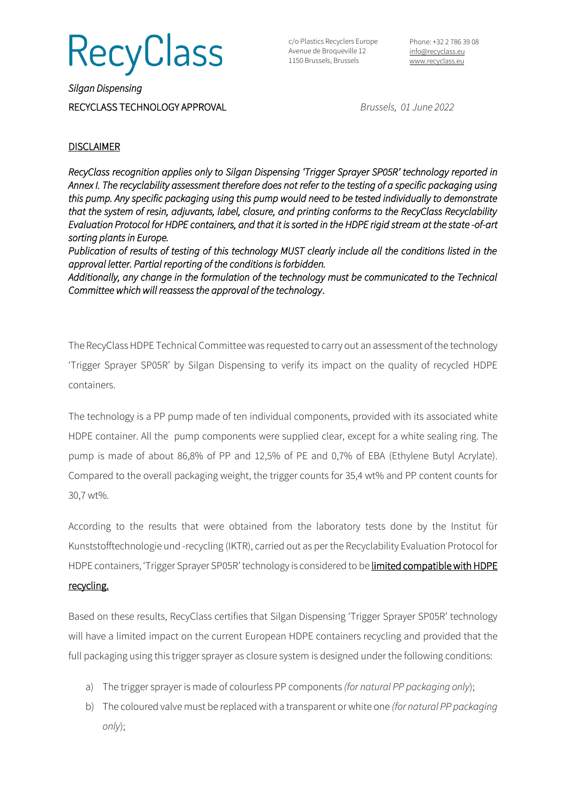**RecyClass** 

c/o Plastics Recyclers Europe Avenue de Broqueville 12 1150 Brussels, Brussels

Phone: +32 2 786 39 08 [info@recyclass.eu](mailto:info@recyclass.eu) [www.recyclass.eu](http://www.recyclass.eu/)

*Silgan Dispensing*  RECYCLASS TECHNOLOGY APPROVAL *Brussels, 01 June 2022*

## **DISCLAIMER**

*RecyClass recognition applies only to Silgan Dispensing 'Trigger Sprayer SP05R' technology reported in Annex I. The recyclability assessment therefore does not refer to the testing of a specific packaging using this pump. Any specific packaging using this pump would need to be tested individually to demonstrate that the system of resin, adjuvants, label, closure, and printing conforms to the RecyClass Recyclability Evaluation Protocol for HDPE containers, and that it is sorted in the HDPE rigid stream at the state -of-art sorting plants in Europe.* 

*Publication of results of testing of this technology MUST clearly include all the conditions listed in the approval letter. Partial reporting of the conditions is forbidden.* 

*Additionally, any change in the formulation of the technology must be communicated to the Technical Committee which will reassess the approval of the technology*.

The RecyClass HDPE Technical Committee was requested to carry out an assessment of the technology 'Trigger Sprayer SP05R' by Silgan Dispensing to verify its impact on the quality of recycled HDPE containers.

The technology is a PP pump made of ten individual components, provided with its associated white HDPE container. All the pump components were supplied clear, except for a white sealing ring. The pump is made of about 86,8% of PP and 12,5% of PE and 0,7% of EBA (Ethylene Butyl Acrylate). Compared to the overall packaging weight, the trigger counts for 35,4 wt% and PP content counts for 30,7 wt%.

According to the results that were obtained from the laboratory tests done by the Institut für Kunststofftechnologie und -recycling (IKTR), carried out as per the Recyclability Evaluation Protocol for HDPE containers, 'Trigger Sprayer SP05R' technology is considered to be limited compatible with HDPE

## recycling.

Based on these results, RecyClass certifies that Silgan Dispensing 'Trigger Sprayer SP05R' technology will have a limited impact on the current European HDPE containers recycling and provided that the full packaging using this trigger sprayer as closure system is designed under the following conditions:

- a) The trigger sprayer is made of colourless PP components *(for natural PP packaging only*);
- b) The coloured valve must be replaced with a transparent or white one *(for natural PP packaging only*);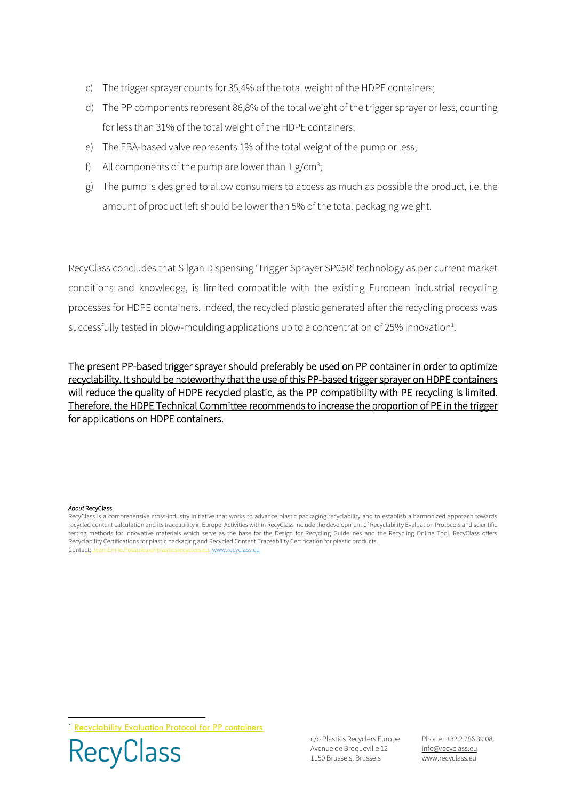- c) The trigger sprayer counts for 35,4% of the total weight of the HDPE containers;
- d) The PP components represent 86,8% of the total weight of the trigger sprayer or less, counting for less than 31% of the total weight of the HDPE containers;
- e) The EBA-based valve represents 1% of the total weight of the pump or less;
- f) All components of the pump are lower than  $1 g/cm^3$ ;
- g) The pump is designed to allow consumers to access as much as possible the product, i.e. the amount of product left should be lower than 5% of the total packaging weight.

RecyClass concludes that Silgan Dispensing 'Trigger Sprayer SP05R' technology as per current market conditions and knowledge, is limited compatible with the existing European industrial recycling processes for HDPE containers. Indeed, the recycled plastic generated after the recycling process was successfully tested in blow-moulding applications up to a concentration of 25% innovation<sup>1</sup>.

The present PP-based trigger sprayer should preferably be used on PP container in order to optimize recyclability. It should be noteworthy that the use of this PP-based trigger sprayer on HDPE containers will reduce the quality of HDPE recycled plastic, as the PP compatibility with PE recycling is limited. Therefore, the HDPE Technical Committee recommends to increase the proportion of PE in the trigger for applications on HDPE containers.

## *About* RecyClass

RecyClass is a comprehensive cross-industry initiative that works to advance plastic packaging recyclability and to establish a harmonized approach towards recycled content calculation and its traceability in Europe. Activities within RecyClass include the development of Recyclability Evaluation Protocols and scientific testing methods for innovative materials which serve as the base for the Design for Recycling Guidelines and the Recycling Online Tool. RecyClass offers Recyclability Certifications for plastic packaging and Recycled Content Traceability Certification for plastic products. Contact[: Jean-Emile.Potaufeux@plasticsrecyclers.eu,](mailto:Jean-Emile.Potaufeux@plasticsrecyclers.eu) [www.recyclass.eu](http://www.recyclass.eu/)

<sup>1</sup> [Recyclability Evaluation Protocol for PP containers](https://recyclass.eu/wp-content/uploads/2021/04/RecyClass-Recyclability-Evaluation-Protocol-for-PP-containers-v.2.0_NEW-DESIGN.pdf)



c/o Plastics Recyclers Europe Avenue de Broqueville 12 1150 Brussels, Brussels

Phone : +32 2 786 39 08 info[@recyclass.eu](mailto:recyclass@plasticsrecyclers.eu) www.recyclass.eu